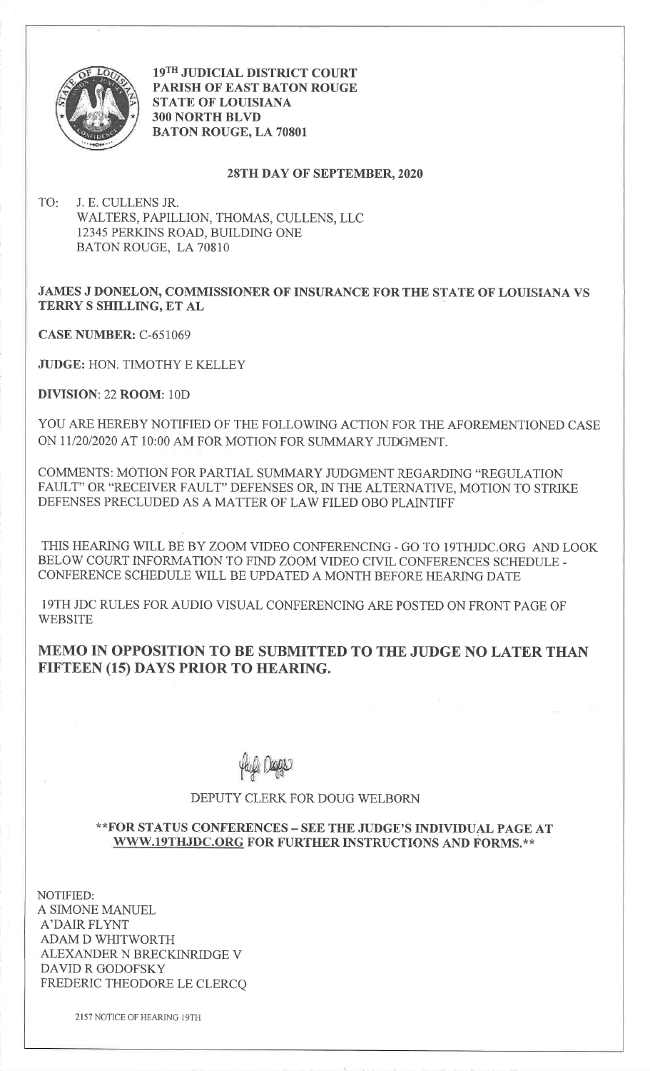

19TH JUDICIAL DISTRICT COURT PARISH OF EAST BATON ROUGESTATE OF LOUISIANA3OO NORTH BLVDBATON ROUGE, LA 70801

## 28TH DAY OF SEPTEMBER,2O2O

TO J. E. CULLENS JR. WALTERS, PAPILLION, THOMAS, CULLENS, LLC12345 PERKINS ROAD, BUILDING ONEBATON ROUGE, LA 70810

## JAMES J DONELON, COMMISSIONER OF INSURANCE FOR THE STATE OF LOUISIANA VS TERRY S SHILLING, ET AL

CASE NUMBER: C-651069

JUDGE: HON. TIMOTHY E KELLEY

DIVISION: 22 ROOM: 10D

YOU ARE HEREBY NOTIFIED OF THE FOLLOWING ACTION FOR THE AFOREMENTIONED CASEON 11/20/2020 AT 10:00 AM FOR MOTION FOR SUMMARY JUDGMENT.

COMMENTS: MOTION FOR PARTIAL SUMMARY JUDGMENT REGARDING "REGULATION FAULT" OR "RECEIVER FAULT" DEFENSES OR, IN THE ALTERNATIVE, MOTION TO STRIKEDEFENSES PRECLUDED AS A MATTER OF LAW FILED OBO PLAINTIFF

THIS HEARING WILL BE BY ZOOMVIDEO CONFERENCING. GO TO I9THJDC.ORG AND LOOKBELOW COURT INFORMATION TO FIND ZOOM VIDEO CIVIL CONFERENCES SCHEDULE -CONFERENCE SCHEDULE WILL BE UPDATED A MONTH BEFORE HEARING DATE

19TH JDC RULES FOR AUDIO VISUAL CONFERENCING ARE POSTED ON FRONT PAGE OF**WEBSITE** 

MEMO IN OPPOSITION TO BE SUBMITTED TO THE JUDGE NO LATER THANFIFTEEN (15) DAYS PRIOR TO HEARING.

Lmbi reals

## DEPUTY CLERK FOR DOUG WELBORN

## \*\*FOR STATUS CONFERENCES - SEE THE JUDGE'S INDIVIDUAL PAGE ATWWW.19THJDC.ORG FOR FURTHER INSTRUCTIONS AND FORMS.\*\*

NOTIFIED:A SIMONE MANUELA'DAIR FLYNT ADAM D WHITWORTH ALEXANDER N BRECKINRIDGE VDAVID R GODOFSKYFREDERIC THEODORE LE CLERCQ

2157 NOTICE OF HEARING IgTH